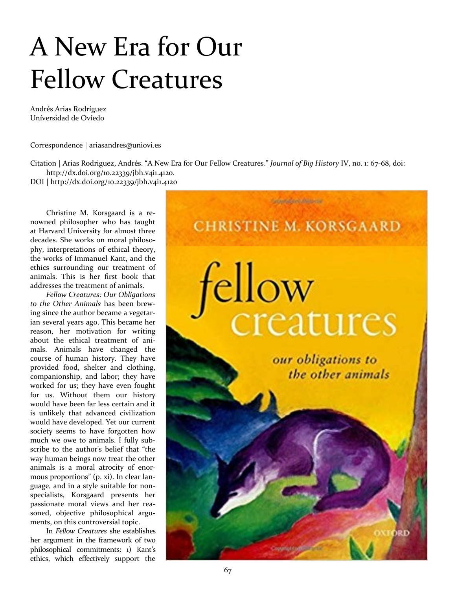## A New Era for Our Fellow Creatures

Andrés Arias Rodríguez Uníversidad de Ovíedo

Correspondence | [ariasandres@uniovi.es](mailto:ariasandres@uniovi.es)

Citation | Arias Rodriguez, Andrés. "A New Era for Our Fellow Creatures." *Journal of Big History* IV, no. 1: 67-68, doi: [http://dx.doi.org/10.22339/jbh.v](http://dx.doi.org/10.22339/jbh)4i1.4120.

DOI | [http://dx.doi.org/10.22339/jbh.v](http://dx.doi.org/10.22339/jbh)4i1.4120

Christine M. Korsgaard is a renowned philosopher who has taught at Harvard University for almost three decades. She works on moral philosophy, interpretations of ethical theory, the works of Immanuel Kant, and the ethics surrounding our treatment of animals. This is her first book that addresses the treatment of animals.

*Fellow Creatures: Our Obligations to the Other Animals* has been brewing since the author became a vegetarian several years ago. This became her reason, her motivation for writing about the ethical treatment of animals. Animals have changed the course of human history. They have provided food, shelter and clothing, companionship, and labor; they have worked for us; they have even fought for us. Without them our history would have been far less certain and it is unlikely that advanced civilization would have developed. Yet our current society seems to have forgotten how much we owe to animals. I fully subscribe to the author's belief that "the way human beings now treat the other animals is a moral atrocity of enormous proportions" (p. xi). In clear language, and in a style suitable for nonspecialists, Korsgaard presents her passionate moral views and her reasoned, objective philosophical arguments, on this controversial topic.

In *Fellow Creatures* she establishes her argument in the framework of two philosophical commitments: 1) Kant's ethics, which effectively support the